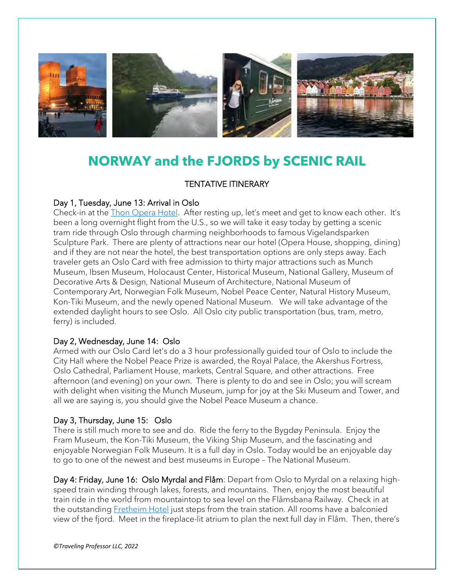

# **NORWAY and the FJORDS by SCENIC RAIL**

# TENTATIVE ITINERARY

## Day 1, Tuesday, June 13: Arrival in Oslo

Check-in at the [Thon Opera Hotel.](https://www.thonhotels.no/hoteller/norge/oslo/thon-hotel-opera/) After resting up, let's meet and get to know each other. It's been a long overnight flight from the U.S., so we will take it easy today by getting a scenic tram ride through Oslo through charming neighborhoods to famous Vigelandsparken Sculpture Park. There are plenty of attractions near our hotel (Opera House, shopping, dining) and if they are not near the hotel, the best transportation options are only steps away. Each traveler gets an Oslo Card with free admission to thirty major attractions such as Munch Museum, Ibsen Museum, Holocaust Center, Historical Museum, National Gallery, Museum of Decorative Arts & Design, National Museum of Architecture, National Museum of Contemporary Art, Norwegian Folk Museum, Nobel Peace Center, Natural History Museum, Kon-Tiki Museum, and the newly opened National Museum. We will take advantage of the extended daylight hours to see Oslo. All Oslo city public transportation (bus, tram, metro, ferry) is included.

#### Day 2, Wednesday, June 14: Oslo

Armed with our Oslo Card let's do a 3 hour professionally guided tour of Oslo to include the City Hall where the Nobel Peace Prize is awarded, the Royal Palace, the Akershus Fortress, Oslo Cathedral, Parliament House, markets, Central Square, and other attractions. Free afternoon (and evening) on your own. There is plenty to do and see in Oslo; you will scream with delight when visiting the Munch Museum, jump for joy at the Ski Museum and Tower, and all we are saying is, you should give the Nobel Peace Museum a chance.

## Day 3, Thursday, June 15: Oslo

There is still much more to see and do. Ride the ferry to the Bygdøy Peninsula. Enjoy the Fram Museum, the Kon-Tiki Museum, the Viking Ship Museum, and the fascinating and enjoyable Norwegian Folk Museum. It is a full day in Oslo. Today would be an enjoyable day to go to one of the newest and best museums in Europe – The National Museum.

Day 4: Friday, June 16: Oslo Myrdal and Flåm: Depart from Oslo to Myrdal on a relaxing highspeed train winding through lakes, forests, and mountains. Then, enjoy the most beautiful train ride in the world from mountaintop to sea level on the Flåmsbana Railway. Check in at the outstanding [Fretheim Hotel](http://www.fretheim-hotel.com/) just steps from the train station. All rooms have a balconied view of the fjord. Meet in the fireplace-lit atrium to plan the next full day in Flåm. Then, there's